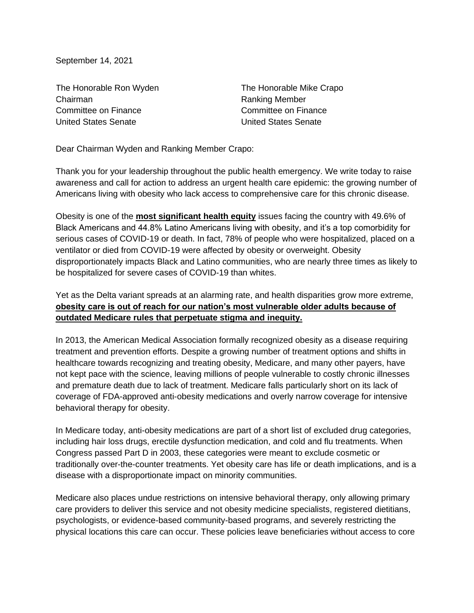September 14, 2021

The Honorable Ron Wyden Chairman Committee on Finance United States Senate

The Honorable Mike Crapo Ranking Member Committee on Finance United States Senate

Dear Chairman Wyden and Ranking Member Crapo:

Thank you for your leadership throughout the public health emergency. We write today to raise awareness and call for action to address an urgent health care epidemic: the growing number of Americans living with obesity who lack access to comprehensive care for this chronic disease.

Obesity is one of the **most significant health equity** issues facing the country with 49.6% of Black Americans and 44.8% Latino Americans living with obesity, and it's a top comorbidity for serious cases of COVID-19 or death. In fact, 78% of people who were hospitalized, placed on a ventilator or died from COVID-19 were affected by obesity or overweight. Obesity disproportionately impacts Black and Latino communities, who are nearly three times as likely to be hospitalized for severe cases of COVID-19 than whites.

Yet as the Delta variant spreads at an alarming rate, and health disparities grow more extreme, **obesity care is out of reach for our nation's most vulnerable older adults because of outdated Medicare rules that perpetuate stigma and inequity.**

In 2013, the American Medical Association formally recognized obesity as a disease requiring treatment and prevention efforts. Despite a growing number of treatment options and shifts in healthcare towards recognizing and treating obesity, Medicare, and many other payers, have not kept pace with the science, leaving millions of people vulnerable to costly chronic illnesses and premature death due to lack of treatment. Medicare falls particularly short on its lack of coverage of FDA-approved anti-obesity medications and overly narrow coverage for intensive behavioral therapy for obesity.

In Medicare today, anti-obesity medications are part of a short list of excluded drug categories, including hair loss drugs, erectile dysfunction medication, and cold and flu treatments. When Congress passed Part D in 2003, these categories were meant to exclude cosmetic or traditionally over-the-counter treatments. Yet obesity care has life or death implications, and is a disease with a disproportionate impact on minority communities.

Medicare also places undue restrictions on intensive behavioral therapy, only allowing primary care providers to deliver this service and not obesity medicine specialists, registered dietitians, psychologists, or evidence-based community-based programs, and severely restricting the physical locations this care can occur. These policies leave beneficiaries without access to core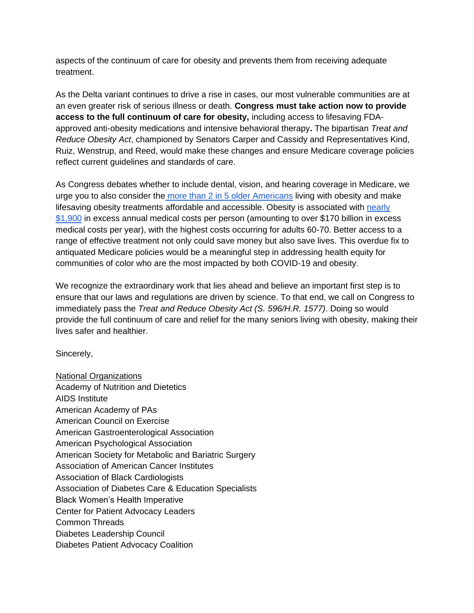aspects of the continuum of care for obesity and prevents them from receiving adequate treatment.

As the Delta variant continues to drive a rise in cases, our most vulnerable communities are at an even greater risk of serious illness or death. **Congress must take action now to provide access to the full continuum of care for obesity,** including access to lifesaving FDAapproved anti-obesity medications and intensive behavioral therapy**.** The bipartisan *Treat and Reduce Obesity Act*, championed by Senators Carper and Cassidy and Representatives Kind, Ruiz, Wenstrup, and Reed, would make these changes and ensure Medicare coverage policies reflect current guidelines and standards of care.

As Congress debates whether to include dental, vision, and hearing coverage in Medicare, we urge you to also consider the [more than 2 in 5 older Americans](https://www.cdc.gov/obesity/data/adult.html) living with obesity and make lifesaving obesity treatments affordable and accessible. Obesity is associated with [nearly](https://journals.plos.org/plosone/article?id=10.1371/journal.pone.0247307#pone-0247307-t001)  [\\$1,900](https://journals.plos.org/plosone/article?id=10.1371/journal.pone.0247307#pone-0247307-t001) in excess annual medical costs per person (amounting to over \$170 billion in excess medical costs per year), with the highest costs occurring for adults 60-70. Better access to a range of effective treatment not only could save money but also save lives. This overdue fix to antiquated Medicare policies would be a meaningful step in addressing health equity for communities of color who are the most impacted by both COVID-19 and obesity.

We recognize the extraordinary work that lies ahead and believe an important first step is to ensure that our laws and regulations are driven by science. To that end, we call on Congress to immediately pass the *Treat and Reduce Obesity Act (S. 596/H.R. 1577)*. Doing so would provide the full continuum of care and relief for the many seniors living with obesity, making their lives safer and healthier.

Sincerely,

National Organizations Academy of Nutrition and Dietetics AIDS Institute American Academy of PAs American Council on Exercise American Gastroenterological Association American Psychological Association American Society for Metabolic and Bariatric Surgery Association of American Cancer Institutes Association of Black Cardiologists Association of Diabetes Care & Education Specialists Black Women's Health Imperative Center for Patient Advocacy Leaders Common Threads Diabetes Leadership Council Diabetes Patient Advocacy Coalition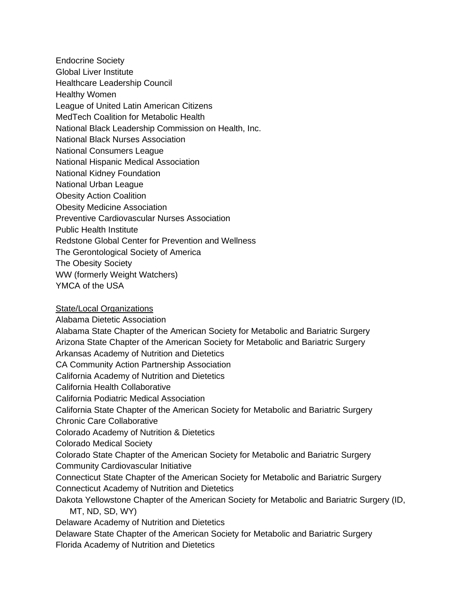Endocrine Society Global Liver Institute Healthcare Leadership Council Healthy Women League of United Latin American Citizens MedTech Coalition for Metabolic Health National Black Leadership Commission on Health, Inc. National Black Nurses Association National Consumers League National Hispanic Medical Association National Kidney Foundation National Urban League Obesity Action Coalition Obesity Medicine Association Preventive Cardiovascular Nurses Association Public Health Institute Redstone Global Center for Prevention and Wellness The Gerontological Society of America The Obesity Society WW (formerly Weight Watchers) YMCA of the USA

State/Local Organizations Alabama Dietetic Association Alabama State Chapter of the American Society for Metabolic and Bariatric Surgery Arizona State Chapter of the American Society for Metabolic and Bariatric Surgery Arkansas Academy of Nutrition and Dietetics CA Community Action Partnership Association California Academy of Nutrition and Dietetics California Health Collaborative California Podiatric Medical Association California State Chapter of the American Society for Metabolic and Bariatric Surgery Chronic Care Collaborative Colorado Academy of Nutrition & Dietetics Colorado Medical Society Colorado State Chapter of the American Society for Metabolic and Bariatric Surgery Community Cardiovascular Initiative Connecticut State Chapter of the American Society for Metabolic and Bariatric Surgery Connecticut Academy of Nutrition and Dietetics Dakota Yellowstone Chapter of the American Society for Metabolic and Bariatric Surgery (ID, MT, ND, SD, WY) Delaware Academy of Nutrition and Dietetics Delaware State Chapter of the American Society for Metabolic and Bariatric Surgery Florida Academy of Nutrition and Dietetics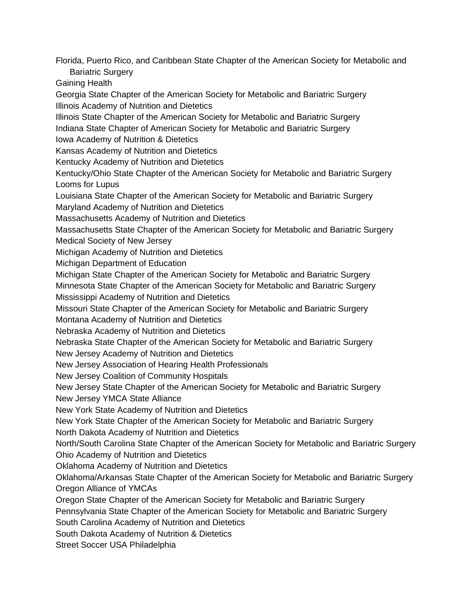Florida, Puerto Rico, and Caribbean State Chapter of the American Society for Metabolic and Bariatric Surgery Gaining Health Georgia State Chapter of the American Society for Metabolic and Bariatric Surgery Illinois Academy of Nutrition and Dietetics Illinois State Chapter of the American Society for Metabolic and Bariatric Surgery Indiana State Chapter of American Society for Metabolic and Bariatric Surgery Iowa Academy of Nutrition & Dietetics Kansas Academy of Nutrition and Dietetics Kentucky Academy of Nutrition and Dietetics Kentucky/Ohio State Chapter of the American Society for Metabolic and Bariatric Surgery Looms for Lupus Louisiana State Chapter of the American Society for Metabolic and Bariatric Surgery Maryland Academy of Nutrition and Dietetics Massachusetts Academy of Nutrition and Dietetics Massachusetts State Chapter of the American Society for Metabolic and Bariatric Surgery Medical Society of New Jersey Michigan Academy of Nutrition and Dietetics Michigan Department of Education Michigan State Chapter of the American Society for Metabolic and Bariatric Surgery Minnesota State Chapter of the American Society for Metabolic and Bariatric Surgery Mississippi Academy of Nutrition and Dietetics Missouri State Chapter of the American Society for Metabolic and Bariatric Surgery Montana Academy of Nutrition and Dietetics Nebraska Academy of Nutrition and Dietetics Nebraska State Chapter of the American Society for Metabolic and Bariatric Surgery New Jersey Academy of Nutrition and Dietetics New Jersey Association of Hearing Health Professionals New Jersey Coalition of Community Hospitals New Jersey State Chapter of the American Society for Metabolic and Bariatric Surgery New Jersey YMCA State Alliance New York State Academy of Nutrition and Dietetics New York State Chapter of the American Society for Metabolic and Bariatric Surgery North Dakota Academy of Nutrition and Dietetics North/South Carolina State Chapter of the American Society for Metabolic and Bariatric Surgery Ohio Academy of Nutrition and Dietetics Oklahoma Academy of Nutrition and Dietetics Oklahoma/Arkansas State Chapter of the American Society for Metabolic and Bariatric Surgery Oregon Alliance of YMCAs Oregon State Chapter of the American Society for Metabolic and Bariatric Surgery Pennsylvania State Chapter of the American Society for Metabolic and Bariatric Surgery South Carolina Academy of Nutrition and Dietetics South Dakota Academy of Nutrition & Dietetics

Street Soccer USA Philadelphia